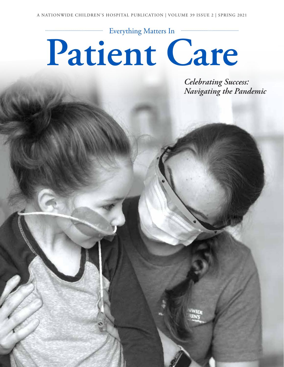# Everything Matters In  $\begin{minipage}{.4\linewidth} \begin{tabular}{l} \hline \textbf{0} & \textbf{0} & \textbf{0} & \textbf{0} & \textbf{0} & \textbf{0} & \textbf{0} & \textbf{0} & \textbf{0} & \textbf{0} & \textbf{0} & \textbf{0} & \textbf{0} & \textbf{0} & \textbf{0} & \textbf{0} & \textbf{0} & \textbf{0} & \textbf{0} & \textbf{0} & \textbf{0} & \textbf{0} & \textbf{0} & \textbf{0} & \textbf{0} & \textbf{0} & \textbf{0} & \textbf{0} & \$ **Patient Care**

*Celebrating Success: Navigating the Pandemic*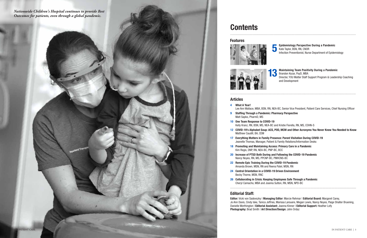## Articles

## Features





Maintaining Team Positivity During a Pandemic Brandon Kozar, PsyD, MBA Director, YOU Matter Staff Support Program & Leadership Coaching and Development

Epidemiology Perspective During a Pandemic Kate Taylor, BSN, RN, CNOR Infection Preventionist, Nurse Department of Epidemiology

13



## Editorial Staff:

Editor: Vicki von Sadovszky | Managing Editor: Marcie Rehmar | Editorial Board: Margaret Carey, Jo Ann Davis, Cindy Iske, Tanica Jeffries, Marissa Larouere, Megan Lewis, Nancy Noyes, Paige Shalter Bruening, Danielle Worthington | Editorial Assistant: Joanna Kinner | Editorial Support: Heather Lofy Photography: Brad Smith | Art Direction/Design: John Ordaz

Lee Ann Wallace, MBA, BSN, RN, NEA-BC, Senior Vice President, Patient Care Services, Chief Nursing Officer

Kelly Kranz, RN, BSN, MS, NEA-BC and Kristie Fiorella, RN, MS, COHN-S 12 COVID-19's Alphabet Soup: ACS, POD, MCM and Other Acronyms You Never Knew You Needed to Know

17 Everything Matters in Family Presence: Parent Visitation During COVID-19 Jeanette Thomas, Manager, Patient & Family Relations/Information Desks

- 4 What A Year!
- 9 Staffing Through a Pandemic: Pharmacy Perspective Matt Sapko, PharmD, MS
- 10 One Team Response to COVID-19
- Matthew Caudill, BA, CEM
- 
- Kim Regis, DNP, RN, NEA-BC, PNP-BC, BCC
- Nancy Noyes, RN, MS, PPCNP-BC, PMHCNS-BC
- 22 Remote Epic Training During the COVID-19 Pandemic Amanda Brown, MSN, RN and Reena Patel, MSN, RN
- 24 Central Orientation in a COVID-19 Driven Environment Becky Thorne, MSN, RNC
- Cheryl Camacho, MBA and Joanna Sutton, RN, MSN, NPD-BC



# **Contents**

18 Promoting and Maintaining Access: Primary Care in a Pandemic

20 Increase of PTSD Both During and Following the COVID-19 Pandemic

26 Collaborating in Crisis: Keeping Employees Safe Through a Pandemic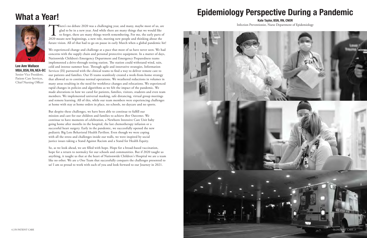There's no debate 2020 was a challenging year, and many, maybe most of us, are glad to be in a new year. And while there are many things that we would like to forget, there are many things worth remembering. For me, the ea glad to be in a new year. And while there are many things that we would like to forget, there are many things worth remembering. For me, the early parts of 2020 meant new beginnings, a new role, meeting new people and thinking about the future vision. All of that had to go on pause in early March when a global pandemic hit!

We experienced change and challenge at a pace that most of us have never seen. We had concerns with the supply chain and personal protective equipment. In a matter of days, Nationwide Children's Emergency Department and Emergency Preparedness teams implemented a drive-through testing station. The station could withstand wind, rain, cold and intense summer heat. Through agile and innovative strategies, Information Services (IS) partnered with the clinical teams to find a way to deliver remote care to our patients and families. Our IS teams seamlessly created a work-from-home strategy that allowed us to continue normal operations. We weathered reductions in volumes in many areas resulting in the need for workforce changes and relocations. We experienced rapid changes in policies and algorithms as we felt the impact of the pandemic. We made alterations in how we cared for patients, families, visitors, students and even team members. We implemented universal masking, safe distancing, virtual group meetings and remote learning. All of this, while our team members were experiencing challenges at home with stay at home orders in place, no schools, no daycare and no sports.

But despite these challenges, we have been able to continue to fulfill our mission and care for our children and families to achieve *Best Outcomes*. We continue to have moments of celebration, a Newborn Intensive Care Unit baby going home after months in the hospital, the last chemotherapy infusion or a successful heart surgery. Early in the pandemic, we successfully opened the new pediatric Big Lots Behavioral Health Pavilion. Even though we were coping with all the stress and challenges inside our walls, we were inspired by social justice issues taking a Stand Against Racism and a Stand for Health Equity.

So, as we look ahead, we are filled with hope. Hope for a broad-based vaccination, hope for a return to normalcy for our schools and communities. But if 2020 taught us anything, it taught us that at the heart of Nationwide Children's Hospital we are a team like no other. We are a One Team that successfully conquers the challenges presented to us! I am so proud to work with each of you and look forward to our Journey in 2021.

# What a Year!



Lee Ann Wallace MBA, BSN, RN, NEA-BC Senior Vice President, Patient Care Services, Chief Nursing Officer

# Epidemiology Perspective During a Pandemic

Kate Taylor, BSN, RN, CNOR Infection Preventionist, Nurse Department of Epidemiology

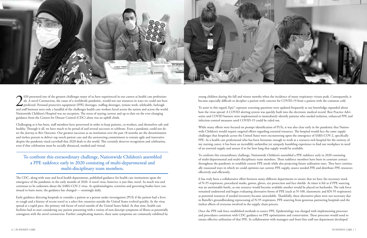

 $\sum_{\text{and st}}$ 020 presented one of the greatest challenges many of us have experienced in our careers as health care professionals. A novel Coronavirus, the cause of a worldwide pandemic, would test our resources in ways we could not have predicted. Personal protective equipment (PPE) shortages, staffing shortages, remote work, telehealth, furlough and staff burnout were only a handful of the challenges health care workers faced across the nation and across the world. Nationwide Children's Hospital was no exception. The stress of staying current and up to date on the ever-changing guidance from the Centers for Disease Control (CDC) alone was an uphill climb.

Challenging as it has been, staff members have persevered in order to keep patients, co-workers, and themselves safe and healthy. Through it all, we have much to be proud of and several successes to celebrate. Even a pandemic could not deter the *Journey to Best Outcomes*. Our greatest successes as an institution over the past 18 months are the determination and tireless pursuit to deliver top notch patient care and the unwavering commitment to remain agile and innovative despite the pandemic-sized curveball that 2020 dealt to the world. This certainly deserves recognition and celebration, even if that celebration must be socially distanced, masked and virtual.

The CDC, along with state and local health departments, published guidance for health care institutions upon the emergence of the pandemic in the early months of 2020. A novel virus, however, is just that; novel. So much was and continues to be unknown about the SARS-COV-2 virus. As epidemiologists, scientists and governing bodies have continued to learn more, the guidance has changed — seemingly daily.

Early guidance directing hospitals to consider a patient as a person under investigation (PUI) if the patient had a fever or cough and a history of recent travel to a select few countries outside the United States evolved quickly. As the virus spread at a rapid pace, the primary risk factor of travel outside of the United States faded. At that time, health care facilities had to start considering any patient presenting with a variety of non-descript symptoms of illness as potentially contagious with the novel coronavirus. Further complicating matters, these same symptoms are commonly exhibited by

young children during the fall and winter months when the incidence of many respiratory viruses peak. Consequently, it became especially difficult to decipher a patient with concern for COVID-19 from a patient with the common cold.

To assist in this regard, Epic® exposure screening questions were updated frequently as our knowledge expanded about how the virus spread. A COVID alerting system was quickly built into the electronic medical record. Best Practice Advisories and COVID banners were implemented to immediately identify patients who needed isolation, enhanced PPE and infection-control measures until COVID-19 could be ruled out.

While many efforts were focused on prompt identification of PUIs, it was also clear early in the pandemic that Nationwide Children's would require targeted efforts regarding essential resources. The hospital would face the same supply challenges that hospitals across the United States were encountering upon the emergence of SARS-COV-2, specifically PPE. As a health care professional who has been fortunate enough to work at a resource-rich hospital for the entirety of my nursing career, it has been an incredibly unfamiliar yet uniquely humbling experience to find our workplace in need of an essential supply and unsure if or for how long that supply would be available.

To confront this extraordinary challenge, Nationwide Children's assembled a PPE taskforce early in 2020 consisting of multi-departmental and multi-disciplinary team members. These taskforce members have been in constant contact throughout the pandemic to establish current PPE needs while also projecting future utilization rates. They have continually reassessed ways in which we could optimize our current PPE supply, source needed PPE and distribute PPE resources effectively and efficiently.

It has truly been a collaborative effort between many different departments to ensure that we have the necessary stock of N-95 respirators, procedural masks, gowns, gloves, eye protection and face shields. At times it felt as if PPE sourcing was an unwinnable battle, as one resource would become available another would be placed on backorder. The task force remained undeterred and began evaluating alternative forms of PPE (such as N-100, elastomeric and KN-95 respirators) as potential resources if needed inventory became unavailable. Thankfully, these alternative plans were not necessary due to Battelle's groundbreaking reprocessing of N-95 respirators, PPE sourcing from generous partnering hospitals and the tireless efforts of everyone involved in the supply chain process.

Once the PPE task force established methods to source PPE, Epidemiology was charged with implementing processes and procedures consistent with CDC guidance on PPE optimization and conservation. These processes would need to ensure effective utilization of that PPE. In collaboration with managers and front-line staff our department developed

To confront this extraordinary challenge, Nationwide Children's assembled a PPE taskforce early in 2020 consisting of multi-departmental and multi-disciplinary team members.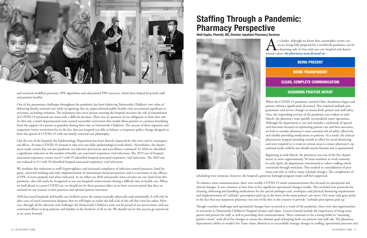s a leader, although we know that catastrophic events can<br>occur, being fully prepared for a worldwide pandemic can<br>a daunting task. In line with our core hospital and depart-<br>mental values, the pharmacy team focused on: occur, being fully prepared for a worldwide pandemic can be a daunting task. In line with our core hospital and departmental values, *the pharmacy team focused on:*

When the COVID-19 pandemic reached Ohio, shutdowns began and patient volumes significantly decreased. This required multiple programmatic and service changes to ensure both patient and staff safety. Once the impending severity of the pandemic was evident in mid-March, the pharmacy team quickly recentralized many operations. Although the department is vast and includes a multitude of specialized functions focused on optimizing patient care and best outcomes, we had to consider pharmacy's most essential role of safely, effectively and reliably providing medications to patients. As a result, the clinical pharmacists stopped attending rounds to allow for social distancing and were required to re-train in various areas to ensure pharmacy's operational needs could be met should anyone become sick or quarantined.



and reviewed workflow processes, PPE algorithms and educational PPE resources, which have helped keep both staff and patients healthy.

We attribute this reduction to staff's hypervigilance and increased compliance of infection control practices, hand hygiene, universal masking and early implementation of transmission-based precautions and is a testament to the efficacy of PPE, if worn properly and when indicated. As we reflect on 2020 and ponder what victories we can claim from this pandemic, this will surely be recognized as one our hospital's achievements during a difficult time in health care. When we look ahead to a post-COVID era, we should not let these practices falter as we have concrete proof that they are essential on our journey to best practices and optimal patient outcomes.

One of the paramount challenges throughout the pandemic has been balancing Nationwide Children's core value of delivering family-centered care while recognizing that an unprecedented public-health crisis necessitated significant restrictions, including visitation. The realization that every person entering the hospital increases the risk of transmission of COVID-19 presented our team with a difficult decision. There was no question of our obligation to limit that risk. To this end, a multi-departmental team created reasonable restrictions that would allow patients to continue benefiting from the support of a parent or guardian during their time at Nationwide Children's. The success of these inpatient and outpatient visitor restrictions lies in the fact that our hospital was able to balance a temporary policy change designed to limit the spread of COVID-19 with our family-centered-care philosophy.

> Beginning in mid-March, the pharmacy was one of the first departments to move approximately 50 team members to work remotely. In early April, the department transitioned to cohort staffing which continued through mid-June. This resulted in consolidation of positions and roles as well as many schedule changes. The complexities of scheduling were immense, however, the hospital's generous furlough program made staff feel supported.

Like the rest of the hospital, the Epidemiology Department has been directly impacted by this virus and its consequential effects. At times COVID-19 seemed to take over our daily epidemiological work duties. Nevertheless, the department made certain that our pre-pandemic era infection prevention and surveillance continued. In 2020 we identified a significant reduction in the number of health care associated respiratory viral infections. The 2019 rate of hospital associated respiratory viruses was 0.5 with 95 identified hospital associated respiratory viral infections. The 2020 rate was reduced to 0.3 with 50 identified hospital associated respiratory viral infections.

2020 has tested hospitals and health care facilities across the nation mentally, physically and emotionally. It will only be after cases of novel coronavirus dissipate that we will begin to realize the full scale of the toll this virus has taken. However, through all the adversity and challenges the Nationwide Children's team can be proud of our perseverance and our continued efforts to keep patients and families at the forefront of all we do. We should not let this success go unnoticed as we move forward.

To enhance team communication, there were weekly COVID-19 email communications that focused on operational and clinical changes. It was common to have four to five significant operational changes weekly. This included new protocols for cleaning, delivering and handling medications for the special pathogen unit, workspace and physical distancing requirements and implementation of "curbside" prescription pick-up in the front of the main patient care tower. Our team took great pride in the fact that our outpatient pharmacy was one of the first in the country to provide "curbside prescription pick up."

Though countless challenges and operational changes have occurred as a result of the pandemic, there were also opportunities to recommit to Nationwide Children's Hospital mission and values. Lessons learned include the importance of being transparent and present for staff, as well as providing clear communication. There continues to be a strong belief in "assuming positive intent" with all of the changes to ensure the ultimate goal of keeping both our patients and staff safe. The pharmacy department's ability to model One Team values allowed us to successfully manage changes in staffing, operational processes and

# Staffing Through a Pandemic: Pharmacy Perspective

Matt Sapko, PharmD, MS, Director, Inpatient Pharmacy Services



## BEING PRESENT

## BEING TRANSPARENT

CLEAR, COMPLETE COMMUNICATION

## ASSUMING POSITIVE INTENT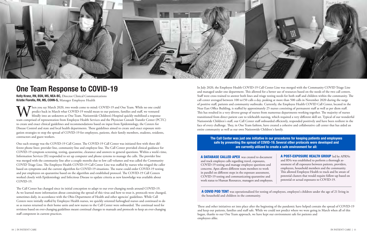

# One Team Response to COVID-19

Kelly Kranz, RN, BSN, MS, NEA-BC, Director Clinical Communications Kristie Fiorella, RN, MS, COHN-S, Manager Employee Health

When you say March 2020, two words come to mind: COVID-19 and One Team. While no one could<br>predict back in March what COVID-19 would mean to our patients, families and staff, we ventured<br>blindly into an unknown as One Team predict back in March what COVID-19 would mean to our patients, families and staff, we ventured blindly into an unknown as One Team. Nationwide Children's Hospital quickly mobilized a response team comprised of representation from Employee Health Services and the Physician Consult Transfer Center (PCTC) to create and enact clinical guidelines and recommendations based on input from Epidemiology, the Centers for Disease Control and state and local health departments. These guidelines aimed to create and enact exposure mitigation strategies to stop the spread of COVID-19 for employees, patients, their family members, students, residents, contractors and guest workers.

One such strategy was the COVID-19 Call Center. The COVID-19 Call Center was initiated first with three different phone lines: provider line, community line and employee line. The Call Center provided clinical guidance for COVID-19 symptom screening, testing, quarantine, clearance and answers to general questions. Within a week's time, Information Services (IS) responded to set up computer and phone systems to manage the calls. The provider line was merged with the community line after a couple months due to low call volumes and was called the Community COVID Triage Line. The Employee Health COVID-19 Call Center Line was staffed by nurses who triaged the caller based on symptoms and the current algorithm for COVID-19 situations. The nurse could order COVID-19 testing and put employees on quarantine based on the algorithm and established protocol. The COVID-19 Call Centers worked closely with Epidemiology and Infectious Disease to update criteria as new knowledge was available about COVID-19.

The Call Center has changed since its initial conception to adapt to our ever-changing needs around COVID-19. As we learned more information about containing the spread of this virus and how to treat it, protocols were changed, sometimes daily, in accordance with the Ohio Department of Health and other agencies' guidelines. While Call Centers were initially staffed by Employee Health nurses, we quickly oriented furloughed nurses and continued to do so as nurses returned to their home units and new nurses to the Call Center were onboarded. The continual need for revisions based on ever-changing guidelines meant continual changes to manuals and protocols to keep an ever-changing staff competent in current practices.

In July 2020, the Employee Health COVID-19 Call Center Line was merged with the Community COVID Triage Line and managed under one department. This allowed for a better use of resources based on the needs of the two call centers. Staff were cross trained to answer both lines and triage testing needs for both staff and children within the community. The call center averaged between 100 to150 calls a day, peaking at more than 500 calls in November 2020 during the surge of positive staff, patients and community outbreaks. Currently, the Employee Health COVID Call Center, located in the Near East Office Building, is staffed by approximately 25 nurses consisting of permanent staff as well as per diem staff. This has resulted in a very diverse group of nurses from numerous departments working together. The majority of nurses transitioned from direct patient care to telehealth nursing, which required a very different skill set. Typical of our wonderful Nationwide Children's staff, our Call Center staff onboarded efficiently, responded positively and have been resilient in the face of every challenge. They, in One Team fashion, have created a cohesive and collaborative call center that has aided an entire community as well as our own Nationwide Children's family.

These and other initiatives set into place after the beginning of the pandemic have helped contain the spread of COVID-19 and keep our patients, families and staff safe. While we could not predict where we were going in March when all of this began, thanks to our One Team approach, we have kept our environment safe for patients and employees alike.

## The Call Center was just one initiative in our procedures for keeping patients and employees safe by preventing the spread of COVID-19. Several other protocols were developed and are currently utilized to create a safe environment for all:

A DATABASE CALLED APEX was created to docume and track employee calls regarding travel, exposures, COVID-19 testing and manage employee questions and concerns. Apex allows different team members to work in parallel on different steps in the exposure assessment, COVID-19 testing and communicating quarantine and work status to Human Resources, managers and employe

A COVID POD TENT was operationalized for testing of employees, employee's children under the age of 21 living in the household and children in the community.

| ent           | A POST-EXPOSURE HEALTH GROUP led by APRNs                |
|---------------|----------------------------------------------------------|
|               | and RNs was established to perform a thorough as-        |
| $\mathcal{A}$ | sessment of all exposures between patients, providers,   |
|               | employees, household members and the community.          |
|               | This allowed Employee Health to track and be aware of    |
| ł             | potential clusters that would require follow-up based on |
| ees.          | potential or actual exposures to COVID-19.               |
|               |                                                          |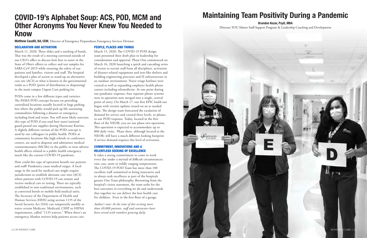

# COVID-19's Alphabet Soup: ACS, POD, MCM and Other Acronyms You Never Knew You Needed to Know

Matthew Caudill, BA, CEM, Director of Emergency Preparedness Emergency Services Division

### DECLARATION AND ACTIVATION

March 11, 2020: Three slides and a stacking of hands. That was the result of a meeting convened outside of our CEO's office to discuss how best to assist in the State of Ohio's efforts to collect and test samples for SARS-CoV-2019 while ensuring the safety of our patients and families, visitors and staff. The hospital developed a plan of action to stand up an alternative care site (ACS) or what is known in the governmental realm as a POD (point of distribution or dispensing) in the main campus Urgent Care parking lot.

PODs come in a few different types and varieties. The FEMA POD concept focuses on providing centralized locations usually located in large parking lots where the public would pick up life sustaining commodities following a disaster or emergency, including food and water. You will most likely associate this type of POD if you read how states'national guard passed out supplies during Hurricane Katrina. A slightly different version of the POD concept is used by our colleagues in public health. PODs at community locations like high schools or conference centers, are used to dispense and administer medical countermeasures (MCMs) to the public to treat adverse health effects related to a public health emergency much like the current COVID-19 pandemic.

How could this type of operation benefit our patients and staff? Pandemics cause medical surges. A local surge in the need for medical care might require jurisdictions to establish alternate care sites (ACS) where patients with COVID-19 can remain and receive medical care or testing. These are typically established in non-traditional environments, such as converted hotels or mobile field medical units. The Secretary of the Department of Health and Human Services (HHS) using section 1135 of the Social Security Act (SSA) can temporarily modify or waive certain Medicare, Medicaid, CHIP or HIPAA requirements, called "1135 waivers." When there's an emergency, blanket waivers help patients access care.

### PEOPLE, PLACES AND THINGS

March 15, 2020: The COVID-19 POD design team presented their draft plan to leadership for consideration and approval. Phase One commenced on March 16, 2020 launching a quick and cascading series of events to recruit staff from all disciplines, activation of disaster-related equipment and tent-like shelters and building engineering processes and IS infrastructure in an outdoor environment. Nurse triage hotlines were created as well as expanding employee health phone centers including telemedicine. At one point during our pandemic response, four separate phone systems were in operation now merged into a single, central point of entry. On March 17, our first EPIC build-out began with version updates issued on an as needed basis. The design team forecasted the escalation of demand for service and created three levels, or phases, to our POD response. Today, located in the first floor of the NEOB, you see our phase two operation. This operation is expected to accommodate up to 800 daily visits. Phase three, although located at the NEOB, will have a much different looking footprint if service demand requires this level of activation.

### COMMITMENT, INNOVATIONS AND A RELENTLESS SEEKING OF EXCELLENCE

It takes a strong commitment to come to work every day under a myriad of difficult circumstances; rain, sun, snow or wildly ranging temperatures. The COVID-19 POD Team has more than 100 excellent staff committed to being innovative and to always seek excellence as part of the hospitals greater One Team philosophy. Borrowing from the hospital's vision statement, the team seeks for the best outcomes in everything we do and understands that together we can deliver the best health care for children. Even in the first floor of a garage.

*Author's note: At the time of this writing more than 49,000 patients, staff and contractors have been served with numbers growing daily.*

# Maintaining Team Positivity During a Pandemic

## Brandon Kozar, PsyD, MBA

Director, YOU Matter Staff Support Program & Leadership Coaching and Development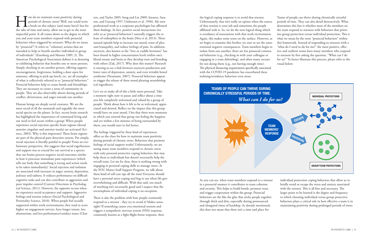The sake of time and sanity, allow me to get to the most the sake of time and sanity, allow me to get to the most periods of chronic stress? Well, one could write a book on this subject (and many have!) but for impactful point. It all comes down to the degree to which you and your team members respond with prosocial behaviors when triggered by stressors. What do we mean by "prosocial"? It refers to "voluntary actions that are intended to help or benefit another individual or group of individuals" (Eisenberg and Mussen 1989, 3). The American Psychological Association defines it as denoting or exhibiting behavior that benefits one or more persons. Simply checking in on another person, offering support, encouragement, forgiveness, holding a door open for someone, offering to pick-up lunch, etc. are all examples of what is collectively referred to as "prosocial behaviors." Prosocial behaviors help to create bonds and friendships. They are necessary to create a sense of community in people. They are also observably absent during periods of conflict, divisiveness, and anger towards one another.

Human beings are deeply social creatures. We are the most social of all the mammals and arguably the most social species on the planet. In fact, recent brain research has highlighted the importance of communal living and our need to feel secure within a group: When people experience social rejection specific brain regions (dorsal anterior cingulate and anterior insula) are activated (Science, 2003). Why is this important? These brain regions are part of the physical pain detection system. Put simply, social rejection is literally painful to people! From an evolutionary perspective, this suggests that social togetherness and support was so crucial for our survival as a species that our brains process negative social outcomes similar to how it processes immediate pain experiences (which tells our body that something is wrong and action needs to be taken immediately). Social rejection and isolation are associated with increases in anger, anxiety, depression, jealousy and sadness. It reduces performance on difficult cognitive tasks and can also contribute to aggression and poor impulse control (Current Directions in Psychological Science, 2011). However, the opposite occurs when we experience social acceptance and support: Aggressive feelings and tension reduces (Social Psychological and Personality Science, 2010). When people feel socially supported within work environments; they tend to score higher on engagement surveys, have longer tenure, less absenteeism, and less performance/conduct issues (Chatters, and Taylor 2005; Song and Lin 2009; Sarason, Sarason, and Gurung 1997; Umberson et al. 1996). My own professional work as a corporate psychologist has affirmed these findings. In fact, positive social interactions (we refer to as 'prosocial behaviors') naturally triggers the release of endorphins in the brain (Hsu et al, 2013). These natural opioids help to increase our mood, sense of pleasure/tranquility, and reduce feelings of pain. In addition, oxytocin, also known as the "love or cuddle hormone" has been found in higher concentration levels within one's blood stream and brain as they develop trust and bonding with others (Zak, 2017). Why does this matter? Research is starting to see a link between oxytocin production and lower rates of depression, anxiety, and even irritable bowel syndrome (Neumann, 2007). Prosocial behaviors appear to trigger the release of these mood pleasing neurobiological ingredients.

> As you can see, when team members respond to a stress in a prosocial manner it contributes to team cohesion and security. This helps to build bonds, promote trust, and trigger cooperation within the group. Prosocial behaviors are the like the glue that sticks people together through thick and thin, especially during pronounced and elongated times of hardship. As already mentioned, this does not mean that there isn't a time and place for

Let's try to make all of this a little more personal. Take a moment right now to pause and reflect about a time you felt completely welcomed and valued by a group of people. Think about how it felt to be so welcomed, appreciated and desired. Reflect on the impact that this group would have on your mood. I bet that there were moments in which you entered that group not feeling the happiest and yet within a few minutes of being surrounded by them, you would start to feel better.

The feelings triggered by these kind of experiences offers us the clues for how to maintain team positivity during periods of chronic stress. Behaviors that promote feelings of social support works! Unfortunately, we are seeing many team members respond to chronic stress with only personal protective coping behaviors that may help them as individuals but doesn't necessarily help the overall team. Let me be clear, there is nothing wrong with engaging in personal coping skills to manage stress. At the YOU Matter Staff Support Program, we talk about these kind of self-care tips all the time! Everyone should have a personal stress coping tool bag to use when life gets overwhelming and difficult. With that said, too much of anything isn't necessarily good and I suspect that the overemphasis of individual coping is no exception.

There is also the problem with how people commonly respond to a stressor - they try to avoid it! Makes sense, right? If something causes you emotional tension and triggers a sympathetic nervous system (SNS) response, commonly known as a fight-flight-freeze response, then the logical coping response is to avoid that stressor. Unfortunately, that isn't really an option when the source of that tension is your job and sometimes the people affiliated with it. So, we do the next logical thing which is avoidance of associations with that work environment. Again, this makes some sense on the surface. However, as we begin to examine this further, we start to see the unintentional negative consequences. Team members begin to isolate from one another, there are less prosocial communal behaviors (e.g., checking in with your colleague or engaging in a team debriefing), and often many excuses for not doing them (e.g., not having enough time). The physical distancing requirements specifically associated with the COVID-19 pandemic has exacerbated these isolating/avoidance behaviors even more. Teams of people can thrive during chronically stressful periods of time. They can also derail destructively. What determines this fate is whether most of the members on the team respond to stressors with behaviors that prioritize group protection versus individual protection. This is what we mean by the term "prosocial behaviors" within this framework. Instead of responding to stressors with a "what do I need to do for me?" the most positive, effective and resilient teams have many members who respond to stressors by first asking the question, "What can I do for us?" To better illustrate this process, please refer to the visual below:



| sor            | individual protection coping behaviors that allow us to       |
|----------------|---------------------------------------------------------------|
|                | briefly avoid or escape the stress and anxiety associated     |
|                | with the stressor. This is all fine and necessary. The        |
|                | larger point to be learned is the degree and frequency        |
| er             | to which choosing individual versus group protective          |
|                | behaviors plays a critical role in how effective a team is in |
| $\overline{ }$ | maintaining positivity during prolonged periods of stress.    |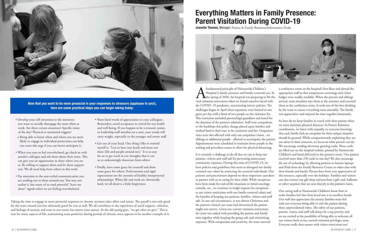# Everything Matters in Family Presence: Parent Visitation During COVID-19

**Jeanette Thomas, Manager, Patient & Family Relations/Information Desks** 



fundamental principle of Nationwide Children's<br>Hospital is family presence and family-centered c<br>the spring of 2020, the hospital was preparing to<br>viral visitation restrictions when we found ourselves faced Hospital is family presence and family-centered care. In the spring of 2020, the hospital was preparing to lift the viral visitation restrictions when we found ourselves faced with the COVID -19 pandemic, necessitating stricter policies. The challenges began in April when inpatients were limited to one guest per day with a limit of two people on the visitation list. This restriction included parents/legal guardians and lasted for the duration of the patient's admission. Staff were sympathetic to the hardships this policy change placed upon families and worked hard to find ways to be consistent and fair. Outpatient visits were also affected with only one outpatient visitor - no siblings or additional people - allowed to accompany the patient. Appointments were scheduled to maintain fewer people in the waiting and procedure rooms to allow for physical distancing. a conference room on the hospital's first floor and alerted the appropriate staff so that temperature screenings and visitor badges were readily available. When the parents and siblings arrived, team members met them at the entrance and escorted them to the conference room. It took out-of-the-box thinking by the team to ensure everything went smoothly. The family was appreciative and enjoyed the time together immensely. So how do we keep families in touch with their patient when we must maintain physical distance? As Patient Relations coordinators, we listen with empathy to concerns knowing that each family feels an exception for their unique situation should be granted. While compassionately explaining they are not alone in their concerns, we focus on what parents can do. We encourage sending electronic greeting cards. These cards are filled out on the hospital website, printed by Nationwide

It is certainly a challenge to do all that we can to keep our patients, visitors and staff safe by preventing unnecessary community exposure. During this time of COVID-19, we have policies and guidelines that seem to disregard our family centered care values by restricting the essential individuals. Our patients and practitioners depend on these important caretakers to partner with us in caring for their child. While exceptions have been made for end-of-life situations or initial oncology consults, etc., we continue to weigh requests for exceptions to our visitor restrictions with our family-centered values and the benefits of keeping our patients, families, visitors and staff safe. In one sad circumstance, it was almost Christmas and the patient's clinical care team had determined the patient might not survive. Given our current visitation restrictions, the team was tasked with providing the patient and family time together while keeping the group safe and minimizing exposure. With compassion and creativity, the team reserved Our caring staff at Nationwide Children's know how to make families feel that their loved one is in excellent hands. Our staff also appreciates the anxiety families must feel with not everyone being able to visit the patient during these unprecedented times. The safety of our patients, parents, visitor, and staff will always be a top priority and we are excited at the possibility of being able to welcome all our visitors back to our normal visitation privileges soon. Everyone really does matter with visitor restrictions too!

Children's and hand delivered to the patient's room. One patient received more than 250 cards in one day! We also encourage the use of technology by allowing patients to borrow laptops and iPads from the Family Resource Center to video chat with their friends and family. Parents have been very appreciative of this resource, especially over the holidays. Families and visitors can also contact our gift shop and purchase a gift card, balloons or other surprises that are sent directly to the patient's room.

Taking the time to engage in more prosocial responses to chronic stressors takes effort and intent. The payoff is not only good for the team around you but ultimately good for you as well. We all contribute to the experience of social support, cohesion, and feelings of security and trust in our teams (no matter your status). As the old saying goes, "we get what we give." This is true for many aspects of life, maintaining team positivity during periods of chronic stress appears to be another example of it.



Now that you want to be more prosocial in your responses to stressors (applause to you!), here are some practical steps you can begin taking today:

- Develop your self-awareness to the moments you want to socially disengage the most when at work. Are there certain situations? Specific times of the day? Physical or emotional triggers?
- o Being able to know when and where you are most likely to engage in individual protections can help you resist this urge if you can better anticipate it.
- When you start to feel overwhelmed, go check-in with another colleague and ask them about their stress. This can give you an opportunity to share where you are at. Be willing to support them and let them support you. We all need help from others in this work.
- Pay attention to the non-verbal communication you are sending out to those around you. You may not realize it, but many of us send powerful "leave me alone" signals when we are feeling overwhelmed.
- Share kind words of appreciation to your colleagues. Remember, social acceptance is critical for our health and well-being. If you happen to be a tenured, senior, or leadership staff member on a unit, your words will carry weight, especially to the younger and newer staff.
- Get out of your head. One thing I like to remind myself is, "Less in here (my head) and more out there (life and people around me)." It is so easy for us to get stuck in our thoughts that it can us to unknowingly dissociate from others.
- Finally, have some grace for yourself and show some grace for others. Perfectionism and rigid expectations are the enemies of healthy interpersonal relationships. When life and work are chronically hard, we all deserve a little forgiveness.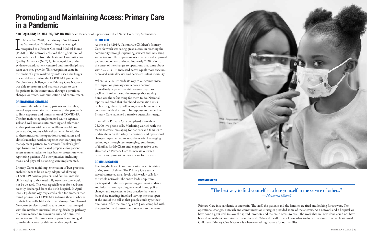

### **COMMITMENT**

Primary Care in a pandemic is uncertain. The staff, the patients and the families are tired and looking for answers. The operational changes, outreach and communication strategies provided some of the answers. As a network and a hospital we have done a great deal to slow the spread, promote and maintain access to care. The work that we have done could not have been done without commitment from the staff. When the staff do not know what to do, we continue to serve. Nationwide Children's Primary Care Network is where everything matters for our families.

# Promoting and Maintaining Access: Primary Care in a Pandemic

Kim Regis, DNP, RN, NEA-BC, PNP-BC, BCC, Vice President of Operations, Chief Nurse Executive, Ambulatory

In November 2020, the Primary Care Network<br>at Nationwide Children's Hospital was again<br>recognized as a Patient-Centered Medical Home<br>(PCMH). The network achieved the highest level of n November 2020, the Primary Care Network at Nationwide Children's Hospital was again recognized as a Patient-Centered Medical Home standards, Level 3, from the National Committee for Quality Assurance (NCQA), in recognition of the evidence-based, patient-centered and interdisciplinary team care they provide. This recognition came in the midst of a year marked by unforeseen challenges in care delivery during the COVID-19 pandemic. Despite those challenges, the Primary Care Network was able to promote and maintain access to care for patients in the community through operational changes, outreach, communication and commitment.

### OPERATIONAL CHANGES

To ensure the safety of staff, patients and families, several steps were taken at the onset of the pandemic to limit exposure and transmission of COVID-19. The first major step implemented was to separate sick and well sessions into morning and afternoon so that patients with any acute illness would not be in waiting rooms with well patients. In addition to these measures, the operations coordinators and clinic leadership worked together with our property management partners to customize "banker's glass" type barriers to fit our leased properties for patient access representatives to have barrier protection when registering patients. All other practices including masks and physical distancing were implemented.

Primary Care's rapid implementation of best practices enabled them to be an early adopter of allowing COVID-19 positive patients and families into the clinic setting so that medically necessary care would not be delayed. This was especially true for newborns recently discharged from the birth hospital. In April 2020, Epidemiology requested a plan for mothers that tested positive for COVID-19 to bring their newborns to their first well-child visit. The Primary Care Network Newborn Services coordinated a process that merged with the newborn nurseries' existing discharge pathway to ensure reduced transmission risk and optimized access to care. This innovative approach was integral to maintain access for this vulnerable population.

## **OUTREACH**

At the end of 2019, Nationwide Children's Primary Care Network was seeing great success in reaching the community through expanding services and increasing access to care. The improvements in access and improved patient outcomes continued into early 2020 prior to the onset of the changes to operations that came about with COVID-19. Increased access equals more vaccines, decreased acute illnesses and decreased infant mortality.

When COVID-19 made its way to our community, the impact on primary care services became immediately apparent as visit volume began to decline. Families heard the message that staying home was the safest thing for them to do. National reports indicated that childhood vaccination rates declined significantly following stay at home orders consistent with the trend. In response to the decline Primary Care launched a massive outreach strategy.

The staff in Primary Care completed more than 25,000 live phone calls. Marketing worked with the teams to create messaging for patients and families to update them on the safety precautions and operational changes implemented to keep them safe. Leveraging technology through text messaging, enrollment of families for MyChart and engaging active users also enabled Primary Care to increase outreach capacity and promote return to care for patients.

### **COMMUNICATION**

Keeping the lines of communication open is critical during stressful times. The Primary Care teams stayed connected at all levels with weekly calls for the whole network. The entire leadership team participated in the calls providing pertinent updates and information regarding new workflows, policy changes and successes. A best practice that came from these meetings involved leaving the chat open at the end of the call so that people could type their questions. After the meeting a FAQ was compiled with the questions and answers and sent out to the team.

## "The best way to find yourself is to lose yourself in the service of others." *— Mahatma Ghandi*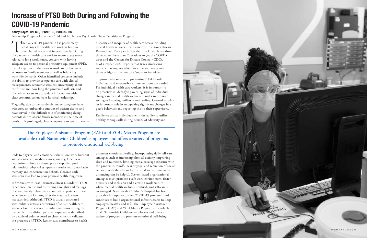The COVID-19 pandemic has posed many<br>the United States and increase both in<br>the United States and internationally. Dur<br>the pandemic, health care workers report acute streated to long work hous, concern with having<br>fear and challenges for health care workers both in the United States and internationally. During the pandemic, health care workers report acute stress related to long work hours, concern with having adequate access to personal protective equipment (PPE), fear of exposure to the virus at work and subsequent exposure to family members as well as balancing work-life demands. Other identified concerns include the ability to provide competent care with clinical reassignments, economic stressors, uncertainty about the future and how long the pandemic will last, and the lack of access to up-to-date information with clear communication from hospital leadership.

Tragically, due to the pandemic, many caregivers have witnessed an unbearable amount of patient deaths and have served in the difficult role of comforting dying patients due to absent family members at the time of death. This prolonged, chronic exposure to stressful events

leads to physical and emotional exhaustion, work burnout and absenteeism, medical errors, anxiety, loneliness, depression, substance abuse, poor sleep, disrupted relationships, physical symptoms (headache, stomachache), memory and concentration deficits. Chronic daily stress can also lead to poor physical health long-term.

Individuals with Post-Traumatic Stress Disorder (PTSD) experience intense and disturbing thoughts and feelings that are directly related to a traumatic experience. These experiences can last long after the traumatic event has subsided. Although PTSD is usually associated with military veterans or victims of abuse, health care workers have experienced similar symptoms during the pandemic. In addition, personal experiences described by people of color exposed to chronic racism validates the presence of PTSD. Racism also contributes to health disparity and inequity of health care access including mental health services. The Center for Infectious Disease Research and Policy estimates that Black people are three times more likely than Caucasians to get the COVID virus and the Centers for Disease Control (CDC), as of October 2020, reports that Black Americans are experiencing mortality rates that are two or more times as high as the rate for Caucasian Americans.

To proactively assist with preventing PTSD, both individual and systems-based interventions are needed. For individual health care workers, it is important to be proactive in identifying warning signs of individual changes in mental health wellness in order to promote strategies fostering resiliency and healing. Co-workers play an important role in recognizing significant changes in a peer's behaviors and reporting this to their supervisors.

Resilience assists individuals with the ability to utilize healthy coping skills during periods of adversity and

promotes emotional healing. Incorporating daily self-care strategies such as increasing physical activity, improving sleep and nutrition, limiting media coverage exposure with the pandemic, mindfulness or yoga, and reduction of social isolation with the advent for the need to continue social distancing can be helpful. System-based organizational strategies must promote a safe work environment, foster diversity and inclusion and a create a work culture where mental health wellness is valued, and self-care is encouraged. Nationwide Children's Hospital has been proactive in response to the COVID-19 pandemic and continues to build organizational infrastructures to keep employees healthy and safe. The Employee Assistance Program (EAP) and YOU Matter Program are available to all Nationwide Children's employees and offers a variety of programs to promote emotional well-being.



IN PATIENT CARE | 21

# Increase of PTSD Both During and Following the COVID-19 Pandemic

## Nancy Noyes, RN, MS, PPCNP-BC, PMHCNS-BC

Fellowship Program Director- Child and Adolescent Psychiatric Nurse Practitioner Program

The Employee Assistance Program (EAP) and YOU Matter Program are available to all Nationwide Children's employees and offers a variety of programs to promote emotional well-being.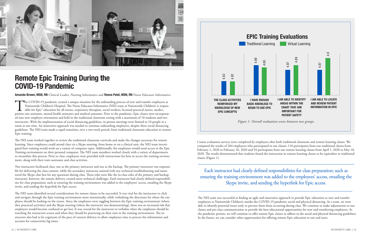

# Remote Epic Training During the COVID-19 Pandemic

Amanda Brown, MSN, RN Clinical Leader, Nursing Informatics and Reena Patel, MSN, RN Nurse Educator Informatics

The COVID-19 pandemic created a unique situation for the onboarding process of new and transfer employees at<br>Nationwide Children's Hospital. The Nurse Educator Informatics (NEI) team at Nationwide Children's is respon-<br>sib Nationwide Children's Hospital. The Nurse Educator Informatics (NEI) team at Nationwide Children's is responsible for Epic® education for all nurses, respiratory therapists, social workers, licensed practical nurses, medics, ed into new employee orientation and held in the traditional classroom setting with a maximum of 18 students and two instructors. With the implementation of social distancing guidelines, in-person meetings were limited to 10 people in a room at one time. An innovative approach was needed to continue onboarding employees, despite these social distancing guidelines. The NEI team made a rapid transition, over a two-week period, from traditional classroom education to remote Epic training.

The NEI team worked together to review the traditional classroom curricula and make the changes necessary for remote learning. Since employees could attend class via a Skype meeting, from home or on a clinical unit, the NEI team investigated how training would work on a variety of computer types. Additionally, the employees would need access to the Epic Training environment on their personal computer. The NEI team members worked closely with a variety of departments to streamline this process. Prior to class, employees were provided with instructions for how to access the training environment, along with their train username and class activities.

Two instructors facilitated class; one as the primary instructor and one as the backup. The primary instructor was responsible for delivering the class content, while the secondary instructor assisted with any technical troubleshooting and monitored the Skype chat box for any questions during class. These roles were like the in-class roles of the primary and backup instructor, however, the remote delivery created more technical challenges. Each instructor had clearly defined responsibilities for class preparation; such as ensuring the training environment was added to the employees' access, emailing the Skype invite, and sending the hyperlink for Epic access.

The NEI team identified several considerations for remote classes to be successful. It was vital for the instructors to click and navigate through the Epic training environment more intentionally, while verbalizing the directions for where the employee should be looking on the screen. Since the employees were toggling between the Epic training environment (where they practiced activities) and the Skype meeting (where the instructor was demonstrating), there was an increased risk that employees would become confused or get lost. It was crucial for the instructor to verbalize when the employees should be watching the instructors screen and when they should be practicing on their own in the training environment. The instructors also had to be cognizant of the pace of content delivery to allow employees time to process the information and account for connectivity lag times.

Course evaluation surveys were completed by employees after both traditional classroom and remote learning classes. We compared the results of 204 employees who participated in our classes: 110 participants from our traditional classes from February 1, 2020 to February 26, 2020 and 94 participants from our remote learning classes from April 1, 2020 to May 18, 2020. The results demonstrated that students found the instruction in remote learning classes to be equivalent to traditional classes (Figure 1).

The NEI team was successful at finding an agile and innovative approach to provide Epic education to new and transfer employees at Nationwide Children's amidst the COVID-19 pandemic social and physical distancing. As a team, we were able to identify potential issues early to prevent them from occurring during class. We continue to make adjustments to our classes and pre-class communication to provide the best educational opportunities for new and transferring employees. As the pandemic persists, we will continue to offer remote Epic classes to adhere to the social and physical distancing guidelines. In the future, we can consider other opportunities for offering remote Epic education to our end users.

Each instructor had clearly defined responsibilities for class preparation; such as ensuring the training environment was added to the employees' access, emailing the Skype invite, and sending the hyperlink for Epic access.

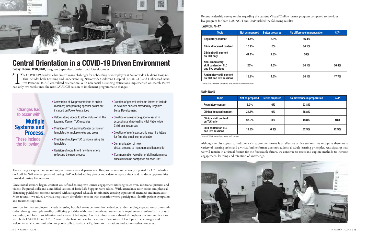## Systems and Process.

## **Multiple** Changes had to occur with

These include the following:

The COVID-19 pandemic has created many challenges for onboarding new employees at Nationwide Children's Hospital.<br>This includes both Learning and Understanding Nationwide Children's Hospital (LAUNCH) and Unlicensed Assisti This includes both Learning and Understanding Nationwide Children's Hospital (LAUNCH) and Unlicensed Assistive Personnel (UAP) centralized orientation. With new social distancing restrictions implemented on March 15, we had only two weeks until the next LAUNCH session to implement programmatic changes.

> Although results appear to indicate a virtual/online format is as effective as live sessions, we recognize there are a variety of learning styles and a virtual/online format does not address all adult learning principles. Anticipating that we will remain in a virtual format for the foreseeable future, we continue to assess and explore methods to increase engagement, learning and retention of knowledge.





# Central Orientation in a COVID-19 Driven Environment

Becky Thorne, MSN, RNC, Program Supervisor, Professional Development

Recent leadership survey results regarding the current Virtual/Online format program compared to previous live program for both LAUNCH and UAP yielded the following results:

| <b>Topic</b>                                                       | Not as prepared | <b>Better prepared</b> | No difference in preparation | $N/A^*$ |
|--------------------------------------------------------------------|-----------------|------------------------|------------------------------|---------|
| <b>Regulatory content</b>                                          | 11.4%           | 2.3%                   | 86.4%                        |         |
| <b>Clinical focused content</b>                                    | 15.9%           | $0\%$                  | 84.1%                        |         |
| <b>Clinical skill content</b><br>on TLC only                       | 47.7%           | 2.3%                   | 50%                          |         |
| <b>Non-Ambulatory</b><br>skill content on TLC<br>and live sessions | 25%             | 4.5%                   | 34.1%                        | 36.4%   |
| <b>Ambulatory skill content</b><br>on TLC and live sessions        | 13.6%           | 4.5%                   | 34.1%                        | 47.7%   |

### LAUNCH: N=47

| <b>Topic</b>                                     | Not as prepared | <b>Better prepared</b> | No difference in preparation | $N/A^*$ |
|--------------------------------------------------|-----------------|------------------------|------------------------------|---------|
| <b>Regulatory content</b>                        | 6.3%            | $0\%$                  | 93.8%                        |         |
| <b>Clinical focused content</b>                  | 31.3%           | $0\%$                  | 68.8%                        |         |
| <b>Clinical skill content</b><br>on TLC only     | 37.5%           | $0\%$                  | 43.8%                        | 18.8    |
| <b>Skill content on TLC</b><br>and live sessions | 18.8%           | 6.3%                   | 62.5%                        | 12.5%   |

### UAP: N=47

*\*Attendees attended one of the two live skill content sessions*

*\*Not all UAP attendees attend skill sessions*

These changes required input and support from several departments. This process was immediately repeated for UAP scheduled on April 14. Skill content provided during UAP included adding photos and videos to replace visual and hands-on opportunities provided during live sessions.

Once initial sessions began, content was refined to improve learner engagement utilizing voice over, additional pictures and videos. Required skills and a modified version of Basic Life Support were added. With attendance restrictions and physical distancing guidelines, sessions occurred with a staggered schedule to minimize crossing exposure of attendees and instructors. Most recently, we added a virtual respiratory simulation session with scenarios where participants identify patient symptoms and treatment options.

Stressors for new employees include accessing hospital resources from home devices, understanding expectations, communication through multiple emails, conflicting priorities with new hire orientation and unit requirements, unfamiliarity of unit leadership, and lack of socialization and a sense of belonging. Contact information is shared throughout our communications with both LAUNCH and UAP. As one of the first contacts for new hires, Professional Development encourages and welcomes email communication or phone calls to assist, clarify, listen to frustrations and address other concerns.

- Conversion of live presentations to online modules; incorporating speaker points not included on PowerPoint slides
- Reformatting videos to allow inclusion in The Learning Center (TLC) modules
- Creation of The Learning Center curriculum templates for multiple roles and areas
- Creation of multiple TLC curricula using the templates
- Revision of recruitment new hire letters reflecting the new process
- Creation of general welcome letters to include in new hire packets provided by Organizational Development
- Creation of a resource guide to assist in accessing and navigating vital Nationwide Children's resources
- Creation of role/area specific new hire letters for first day email communication
- Communication of new virtual process to managers and leadership
- Communication /creation of skill performance checklists to be completed on each unit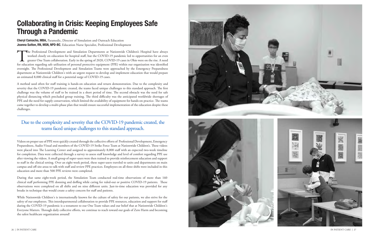# Collaborating in Crisis: Keeping Employees Safe Through a Pandemic

Cheryl Camacho, MBA, Paramedic, Director of Simulation and Outreach Education Joanna Sutton, RN, MSN, NPD-BC, Education Nurse Specialist, Professional Development

The Professional Development and Simulation Departments at Nationwide Children's Hospital have always<br>worked closely on education for hospital staff, but the COVID-19 pandemic led to opportunities for an even<br>greater One T worked closely on education for hospital staff, but the COVID-19 pandemic led to opportunities for an even greater One Team collaboration. Early in the spring of 2020, COVID-19 cases in Ohio were on the rise. A need for education regarding safe utilization of personal protective equipment (PPE) within our organization was identified overnight. The Professional Development and Simulation Teams were approached by the Emergency Preparedness department at Nationwide Children's with an urgent request to develop and implement education that would prepare an estimated 8,000 clinical staff for a potential surge of COVID-19 cases.

A method used often for staff training is hands-on education and return demonstration. Due to the complexity and severity that the COVID-19 pandemic created, the teams faced unique challenges to this standard approach. The first challenge was the volume of staff to be trained in a short period of time. The second obstacle was the need for safe physical distancing which precluded group training. The third difficulty was the anticipated worldwide shortages of PPE and the need for supply conservation, which limited the availability of equipment for hands-on practice. The teams came together to develop a multi-phase plan that would ensure successful implementation of the education despite these challenges.

Due to the complexity and severity that the COVID-19 pandemic created, the teams faced unique challenges to this standard approach.

Videos on proper use of PPE were quickly created through the collective efforts of Professional Development, Emergency Preparedness, Audio-Visual and members of the COVID-19 Strike Force Team at Nationwide Children's. These videos were placed into The Learning Center and assigned to approximately 8,000 staff with an expected two-week timeline for completion. Data were collected through a survey to assess staff knowledge and level of comfort regarding PPE use after viewing the videos. A small group of super-users were then trained to provide reinforcement education and support to staff in the clinical setting. Over an eight-week period, these super-users traveled to units and departments on main campus and off-site areas to talk with staff and review PPE practices. Employees on all three shifts were included in this education and more than 500 PPE reviews were completed.

During that same eight-week period, the Simulation Team conducted real-time observations of more than 160 clinical staff performing PPE donning and doffing while caring for ruled-out or positive COVID-19 patients. These observations were completed on all shifts and on nine different units. Just-in-time education was provided for any breaks in technique that would create a safety concern for staff and patients.

While Nationwide Children's is internationally known for the culture of safety for our patients, we also strive for the safety of our employees. This interdepartmental collaboration to provide PPE resources, education and support for staff during the COVID-19 pandemic is a testament to our One Team values and our belief that at Nationwide Children's Everyone Matters. Through daily collective efforts, we continue to reach toward our goals of Zero Harm and becoming the safest healthcare organization around!